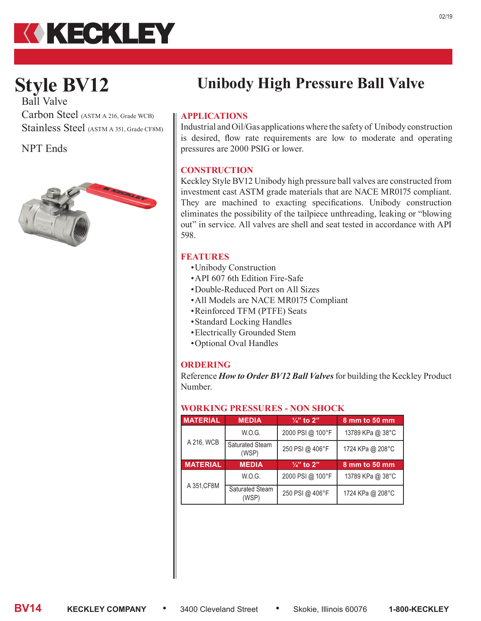

# **Style BV12**

Ball Valve Carbon Steel (ASTM A 216, Grade WCB) Stainless Steel (ASTM A 351, Grade CF8M)

NPT Ends



# **Unibody High Pressure Ball Valve**

## **APPLICATIONS**

Industrial and Oil/Gas applications where the safety of Unibody construction is desired, flow rate requirements are low to moderate and operating pressures are 2000 PSIG or lower.

### **CONSTRUCTION**

Keckley Style BV12 Unibody high pressure ball valves are constructed from investment cast ASTM grade materials that are NACE MR0175 compliant. They are machined to exacting specifications. Unibody construction eliminates the possibility of the tailpiece unthreading, leaking or "blowing out" in service. All valves are shell and seat tested in accordance with API 598.

#### **FEATURES**

- •Unibody Construction
- •API 607 6th Edition Fire-Safe
- •Double-Reduced Port on All Sizes
- •All Models are NACE MR0175 Compliant
- •Reinforced TFM (PTFE) Seats
- •Standard Locking Handles
- •Electrically Grounded Stem
- •Optional Oval Handles

### **ORDERING**

Reference *How to Order BV12 Ball Valves* for building the Keckley Product Number.

#### **WORKING PRESSURES - NON SHOCK**

| <b>MATERIAL</b> | <b>MEDIA</b>                    | $\frac{1}{4}$ " to 2" | 8 mm to 50 mm    |  |  |
|-----------------|---------------------------------|-----------------------|------------------|--|--|
|                 | W.O.G.                          | 2000 PSI @ 100°F      | 13789 KPa @ 38°C |  |  |
| A 216, WCB      | <b>Saturated Steam</b><br>(WSP) | 250 PSI @ 406°F       | 1724 KPa @ 208°C |  |  |
| <b>MATERIAL</b> | <b>MEDIA</b>                    | $\frac{1}{4}$ to 2"   | 8 mm to 50 mm    |  |  |
| A 351, CF8M     | W.O.G.                          | 2000 PSI @ 100°F      | 13789 KPa @ 38°C |  |  |
|                 | <b>Saturated Steam</b><br>(WSP) | 250 PSI @ 406°F       | 1724 KPa @ 208°C |  |  |